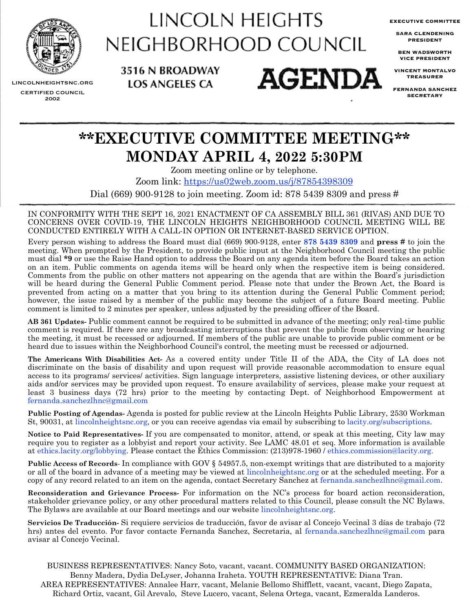

LINCOLN HEIGHTS NEIGHBORHOOD COUNCIL

3516 N BROADWAY

**LOS ANGELES CA** 

**EXECUTIVE COMMITTEE**

**SARA CLENDENING PRESIDENT**

**BEN WADSWORTH VICE PRESIDENT**

**VINCENT MONTALVO TREASURER**

**FERNANDA SANCHEZ SECRETARY**

# **\*\*EXECUTIVE COMMITTEE MEETING\*\* MONDAY APRIL 4, 2022 5:30PM**

Zoom meeting online or by telephone.

**AGENDA** 

Zoom link: <https://us02web.zoom.us/j/87854398309>

Dial (669) 900-9128 to join meeting. Zoom id: 878 5439 8309 and press #

IN CONFORMITY WITH THE SEPT 16, 2021 ENACTMENT OF CA ASSEMBLY BILL 361 (RIVAS) AND DUE TO CONCERNS OVER COVID-19, THE LINCOLN HEIGHTS NEIGHBORHOOD COUNCIL MEETING WILL BE CONDUCTED ENTIRELY WITH A CALL-IN OPTION OR INTERNET-BASED SERVICE OPTION.

Every person wishing to address the Board must dial (669) 900-9128, enter **878 5439 8309** and **press #** to join the meeting. When prompted by the President, to provide public input at the Neighborhood Council meeting the public must dial **\*9** or use the Raise Hand option to address the Board on any agenda item before the Board takes an action on an item. Public comments on agenda items will be heard only when the respective item is being considered. Comments from the public on other matters not appearing on the agenda that are within the Board's jurisdiction will be heard during the General Public Comment period. Please note that under the Brown Act, the Board is prevented from acting on a matter that you bring to its attention during the General Public Comment period; however, the issue raised by a member of the public may become the subject of a future Board meeting. Public comment is limited to 2 minutes per speaker, unless adjusted by the presiding officer of the Board.

**AB 361 Updates-** Public comment cannot be required to be submitted in advance of the meeting; only real-time public comment is required. If there are any broadcasting interruptions that prevent the public from observing or hearing the meeting, it must be recessed or adjourned. If members of the public are unable to provide public comment or be heard due to issues within the Neighborhood Council's control, the meeting must be recessed or adjourned.

**The Americans With Disabilities Act-** As a covered entity under Title II of the ADA, the City of LA does not discriminate on the basis of disability and upon request will provide reasonable accommodation to ensure equal access to its programs/ services/ activities. Sign language interpreters, assistive listening devices, or other auxiliary aids and/or services may be provided upon request. To ensure availability of services, please make your request at least 3 business days (72 hrs) prior to the meeting by contacting Dept. of Neighborhood Empowerment at [fernanda.sanchezlhnc@gmail.com](mailto:fernanda.Sanchezlhnc@gmail.com)

**Public Posting of Agendas-** Agenda is posted for public review at the Lincoln Heights Public Library, 2530 Workman St, 90031, at [lincolnheightsnc.org,](http://www.lincolnheightsNC.org) or you can receive agendas via email by subscribing to [lacity.org/subscriptions.](https://www.lacity.org/government/subscribe-agendasnotifications/neighborhood-councils)

**Notice to Paid Representatives-** If you are compensated to monitor, attend, or speak at this meeting, City law may require you to register as a lobbyist and report your activity. See LAMC 48.01 et seq. More information is available at [ethics.lacity.org/lobbying](http://ethics.lacity.org/lobbying). Please contact the Ethics Commission: (213)978-1960 / [ethics.commission@lacity.org.](mailto:ethics.commission@lacity.org)

**Public Access of Records**- In compliance with GOV § 54957.5, non-exempt writings that are distributed to a majority or all of the board in advance of a meeting may be viewed at [lincolnheightsnc.org](http://lincolnheightsnc.org) or at the scheduled meeting. For a copy of any record related to an item on the agenda, contact Secretary Sanchez at [fernanda.sanchezlhnc@gmail.com](mailto:fernanda.sanchezlhnc@gmail.com).

**Reconsideration and Grievance Process-** For information on the NC's process for board action reconsideration, stakeholder grievance policy, or any other procedural matters related to this Council, please consult the NC Bylaws. The Bylaws are available at our Board meetings and our website [lincolnheightsnc.org.](http://www.lincolnheightsNC.org)

**Servicios De Traducción-** Si requiere servicios de traducción, favor de avisar al Concejo Vecinal 3 días de trabajo (72 hrs) antes del evento. Por favor contacte Fernanda Sanchez, Secretaria, al [fernanda.sanchezlhnc@gmail.com](mailto:fernanda.Sanchezlhnc@gmail.com) para avisar al Concejo Vecinal.

BUSINESS REPRESENTATIVES: Nancy Soto, vacant, vacant. COMMUNITY BASED ORGANIZATION: Benny Madera, Dydia DeLyser, Johanna Iraheta. YOUTH REPRESENTATIVE: Diana Tran. AREA REPRESENTATIVES: Annalee Harr, vacant, Melanie Bellomo Shifflett, vacant, vacant, Diego Zapata, Richard Ortiz, vacant, Gil Arevalo, Steve Lucero, vacant, Selena Ortega, vacant, Ezmeralda Landeros.

LINCOLNHEIGHTSNC.ORG CERTIFIED COUNCIL 2002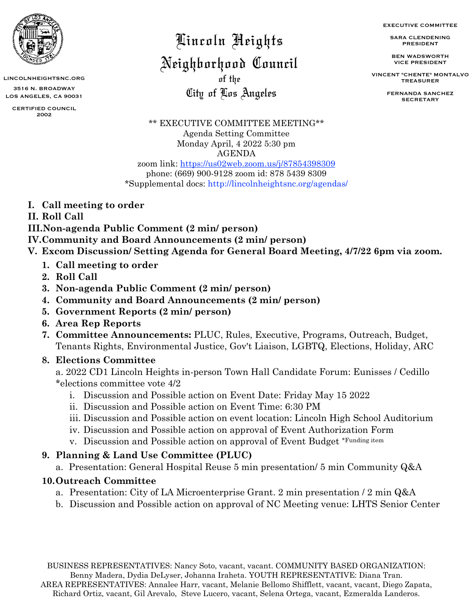EXECUTIVE COMMITTEE

SARA CLENDENING PRESIDENT

BEN WADSWORTH VICE PRESIDENT

VINCENT "CHENTE" MONTALVO TREASURER

FERNANDA SANCHEZ<br>SECRETARY

Neighborhood Council Lincoln Heights

on the constant of Pines Angeles

\*\* EXECUTIVE COMMITTEE MEETING\*\* Agenda Setting Committee Monday April, 4 2022 5:30 pm AGENDA

zoom link:<https://us02web.zoom.us/j/87854398309> phone: (669) 900-9128 zoom id: 878 5439 8309 \*Supplemental docs:<http://lincolnheightsnc.org/agendas/>

- **I. Call meeting to order**
- **II. Roll Call**

**III.Non-agenda Public Comment (2 min/ person)**

**IV.Community and Board Announcements (2 min/ person)**

**V. Excom Discussion/ Setting Agenda for General Board Meeting, 4/7/22 6pm via zoom.** 

- **1. Call meeting to order**
- **2. Roll Call**
- **3. Non-agenda Public Comment (2 min/ person)**
- **4. Community and Board Announcements (2 min/ person)**
- **5. Government Reports (2 min/ person)**
- **6. Area Rep Reports**
- **7. Committee Announcements:** PLUC, Rules, Executive, Programs, Outreach, Budget, Tenants Rights, Environmental Justice, Gov't Liaison, LGBTQ, Elections, Holiday, ARC

## **8. Elections Committee**

a. 2022 CD1 Lincoln Heights in-person Town Hall Candidate Forum: Eunisses / Cedillo \*elections committee vote 4/2

- i. Discussion and Possible action on Event Date: Friday May 15 2022
- ii. Discussion and Possible action on Event Time: 6:30 PM
- iii. Discussion and Possible action on event location: Lincoln High School Auditorium
- iv. Discussion and Possible action on approval of Event Authorization Form
- v. Discussion and Possible action on approval of Event Budget \*Funding item

## **9. Planning & Land Use Committee (PLUC)**

a. Presentation: General Hospital Reuse 5 min presentation/ 5 min Community Q&A

#### **10.Outreach Committee**

- a. Presentation: City of LA Microenterprise Grant. 2 min presentation / 2 min Q&A
- b. Discussion and Possible action on approval of NC Meeting venue: LHTS Senior Center



LINCOLNHEIGHTSNC.ORG 3516 N. BROADWAY LOS ANGELES, CA 90031 CERTIFIED COUNCIL 2002